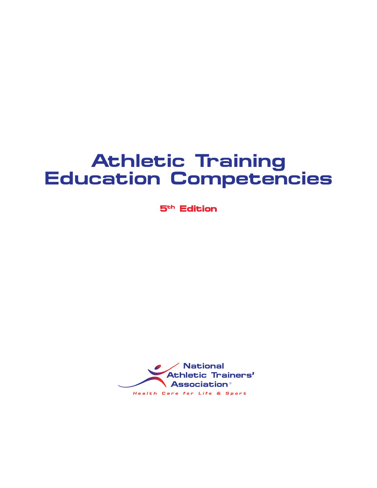# **Athletic Training Education Competencies**

**5th Edition**

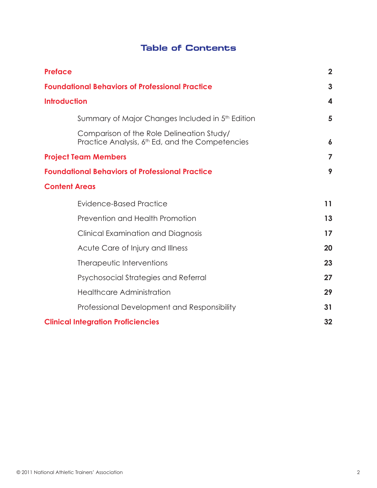# **Table of Contents**

| <b>Preface</b>                                                                                           | $\overline{2}$   |
|----------------------------------------------------------------------------------------------------------|------------------|
| <b>Foundational Behaviors of Professional Practice</b>                                                   | 3                |
| <b>Introduction</b>                                                                                      | 4                |
| Summary of Major Changes Included in 5th Edition                                                         | 5                |
| Comparison of the Role Delineation Study/<br>Practice Analysis, 6 <sup>th</sup> Ed, and the Competencies | $\boldsymbol{6}$ |
| <b>Project Team Members</b>                                                                              | 7                |
| <b>Foundational Behaviors of Professional Practice</b>                                                   | 9                |
| <b>Content Areas</b>                                                                                     |                  |
| Evidence-Based Practice                                                                                  | 11               |
| Prevention and Health Promotion                                                                          | 13               |
| Clinical Examination and Diagnosis                                                                       | 17               |
| Acute Care of Injury and Illness                                                                         | 20               |
| Therapeutic Interventions                                                                                | 23               |
| Psychosocial Strategies and Referral                                                                     | 27               |
| <b>Healthcare Administration</b>                                                                         | 29               |
| Professional Development and Responsibility                                                              | 31               |
| <b>Clinical Integration Proficiencies</b>                                                                | 32               |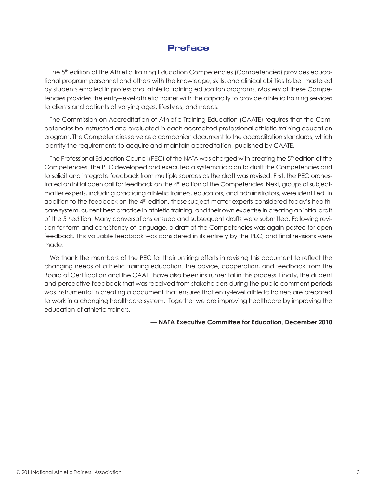# **Preface**

The 5<sup>th</sup> edition of the Athletic Training Education Competencies (Competencies) provides educational program personnel and others with the knowledge, skills, and clinical abilities to be mastered by students enrolled in professional athletic training education programs. Mastery of these Competencies provides the entry–level athletic trainer with the capacity to provide athletic training services to clients and patients of varying ages, lifestyles, and needs.

The Commission on Accreditation of Athletic Training Education (CAATE) requires that the Competencies be instructed and evaluated in each accredited professional athletic training education program. The Competencies serve as a companion document to the accreditation standards, which identify the requirements to acquire and maintain accreditation, published by CAATE.

The Professional Education Council (PEC) of the NATA was charged with creating the 5<sup>th</sup> edition of the Competencies. The PEC developed and executed a systematic plan to draft the Competencies and to solicit and integrate feedback from multiple sources as the draft was revised. First, the PEC orchestrated an initial open call for feedback on the 4<sup>th</sup> edition of the Competencies. Next, groups of subjectmatter experts, including practicing athletic trainers, educators, and administrators, were identified. In addition to the feedback on the 4<sup>th</sup> edition, these subject-matter experts considered today's healthcare system, current best practice in athletic training, and their own expertise in creating an initial draft of the 5<sup>th</sup> edition. Many conversations ensued and subsequent drafts were submitted. Following revision for form and consistency of language, a draft of the Competencies was again posted for open feedback. This valuable feedback was considered in its entirety by the PEC, and final revisions were made.

We thank the members of the PEC for their untiring efforts in revising this document to reflect the changing needs of athletic training education. The advice, cooperation, and feedback from the Board of Certification and the CAATE have also been instrumental in this process. Finally, the diligent and perceptive feedback that was received from stakeholders during the public comment periods was instrumental in creating a document that ensures that entry-level athletic trainers are prepared to work in a changing healthcare system. Together we are improving healthcare by improving the education of athletic trainers.

### — **NATA Executive Committee for Education, December 2010**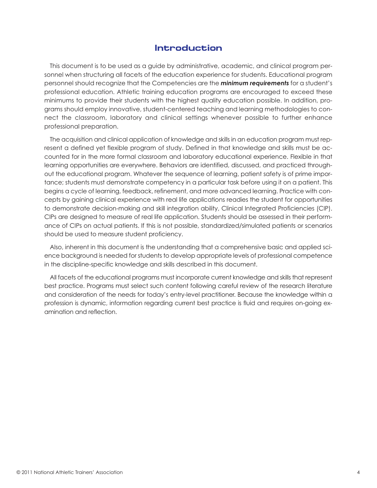# **Introduction**

This document is to be used as a guide by administrative, academic, and clinical program personnel when structuring all facets of the education experience for students. Educational program personnel should recognize that the Competencies are the *minimum requirements* for a student's professional education. Athletic training education programs are encouraged to exceed these minimums to provide their students with the highest quality education possible. In addition, programs should employ innovative, student-centered teaching and learning methodologies to connect the classroom, laboratory and clinical settings whenever possible to further enhance professional preparation.

The acquisition and clinical application of knowledge and skills in an education program must represent a defined yet flexible program of study. Defined in that knowledge and skills must be accounted for in the more formal classroom and laboratory educational experience. Flexible in that learning opportunities are everywhere. Behaviors are identified, discussed, and practiced throughout the educational program. Whatever the sequence of learning, patient safety is of prime importance; students must demonstrate competency in a particular task before using it on a patient. This begins a cycle of learning, feedback, refinement, and more advanced learning. Practice with concepts by gaining clinical experience with real life applications readies the student for opportunities to demonstrate decision-making and skill integration ability, Clinical Integrated Proficiencies (CIP). CIPs are designed to measure of real life application. Students should be assessed in their performance of CIPs on actual patients. If this is not possible, standardized/simulated patients or scenarios should be used to measure student proficiency.

Also, inherent in this document is the understanding that a comprehensive basic and applied science background is needed for students to develop appropriate levels of professional competence in the discipline-specific knowledge and skills described in this document.

All facets of the educational programs must incorporate current knowledge and skills that represent best practice. Programs must select such content following careful review of the research literature and consideration of the needs for today's entry-level practitioner. Because the knowledge within a profession is dynamic, information regarding current best practice is fluid and requires on-going examination and reflection.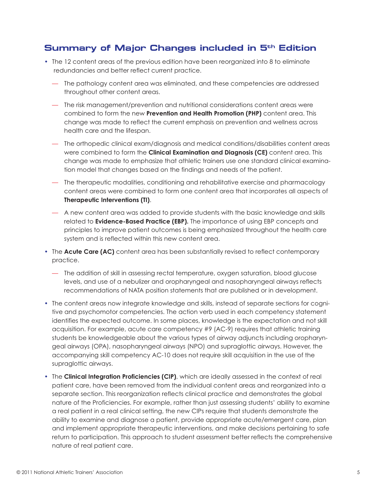# **Summary of Major Changes included in 5th Edition**

- The 12 content areas of the previous edition have been reorganized into 8 to eliminate redundancies and better reflect current practice.
	- The pathology content area was eliminated, and these competencies are addressed throughout other content areas.
	- The risk management/prevention and nutritional considerations content areas were combined to form the new **Prevention and Health Promotion (PHP)** content area. This change was made to reflect the current emphasis on prevention and wellness across health care and the lifespan.
	- The orthopedic clinical exam/diagnosis and medical conditions/disabilities content areas were combined to form the **Clinical Examination and Diagnosis (CE)** content area. This change was made to emphasize that athletic trainers use one standard clinical examination model that changes based on the findings and needs of the patient.
	- The therapeutic modalities, conditioning and rehabilitative exercise and pharmacology content areas were combined to form one content area that incorporates all aspects of **Therapeutic Interventions (TI)**.
	- A new content area was added to provide students with the basic knowledge and skills related to **Evidence-Based Practice (EBP).** The importance of using EBP concepts and principles to improve patient outcomes is being emphasized throughout the health care system and is reflected within this new content area.
- The **Acute Care (AC)** content area has been substantially revised to reflect contemporary practice.
	- The addition of skill in assessing rectal temperature, oxygen saturation, blood glucose levels, and use of a nebulizer and oropharyngeal and nasopharyngeal airways reflects recommendations of NATA position statements that are published or in development.
- The content areas now integrate knowledge and skills, instead of separate sections for cognitive and psychomotor competencies. The action verb used in each competency statement identifies the expected outcome. In some places, knowledge is the expectation and not skill acquisition. For example, acute care competency #9 (AC-9) requires that athletic training students be knowledgeable about the various types of airway adjuncts including oropharyngeal airways (OPA), nasopharyngeal airways (NPO) and supraglottic airways. However, the accompanying skill competency AC-10 does not require skill acquisition in the use of the supraglottic airways.
- The **Clinical Integration Proficiencies (CIP)**, which are ideally assessed in the context of real patient care, have been removed from the individual content areas and reorganized into a separate section. This reorganization reflects clinical practice and demonstrates the global nature of the Proficiencies. For example, rather than just assessing students' ability to examine a real patient in a real clinical setting, the new CIPs require that students demonstrate the ability to examine and diagnose a patient, provide appropriate acute/emergent care, plan and implement appropriate therapeutic interventions, and make decisions pertaining to safe return to participation. This approach to student assessment better reflects the comprehensive nature of real patient care.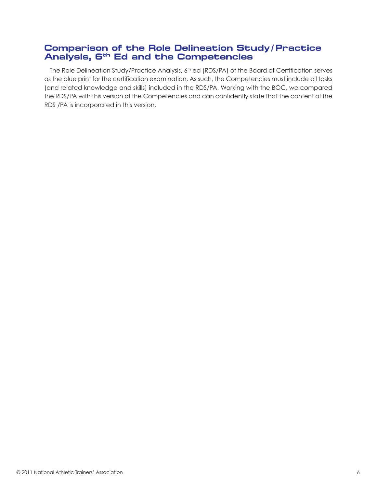# **Comparison of the Role Delineation Study/ Practice Analysis, 6th Ed and the Competencies**

The Role Delineation Study/Practice Analysis, 6<sup>th</sup> ed (RDS/PA) of the Board of Certification serves as the blue print for the certification examination. As such, the Competencies must include all tasks (and related knowledge and skills) included in the RDS/PA. Working with the BOC, we compared the RDS/PA with this version of the Competencies and can confidently state that the content of the RDS /PA is incorporated in this version.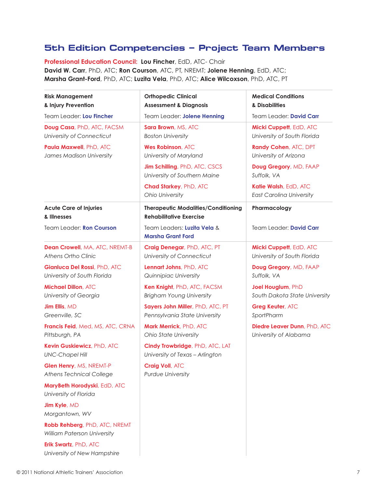# **5th Edition Competencies – Project Team Members**

**Professional Education Council: Lou Fincher**, EdD, ATC- Chair **David W. Carr**, PhD, ATC; **Ron Courson**, ATC, PT, NREMT; **Jolene Henning**, EdD, ATC; **Marsha Grant-Ford**, PhD, ATC; **Luzita Vela**, PhD, ATC; **Alice Wilcoxson**, PhD, ATC, PT

| <b>Risk Management</b><br>& Injury Prevention                     | <b>Orthopedic Clinical</b><br><b>Assessment &amp; Diagnosis</b>              | <b>Medical Conditions</b><br>& Disabilities              |
|-------------------------------------------------------------------|------------------------------------------------------------------------------|----------------------------------------------------------|
| Team Leader: Lou Fincher                                          | Team Leader: Jolene Henning                                                  | Team Leader: David Carr                                  |
| Doug Casa, PhD, ATC, FACSM<br>University of Connecticut           | Sara Brown, MS, ATC<br><b>Boston University</b>                              | Micki Cuppett, EdD, ATC<br>University of South Florida   |
| Paula Maxwell, PhD, ATC<br>James Madison University               | <b>Wes Robinson, ATC</b><br>University of Maryland                           | Randy Cohen, ATC, DPT<br>University of Arizona           |
|                                                                   | <b>Jim Schilling</b> , PhD, ATC, CSCS<br>University of Southern Maine        | Doug Gregory, MD, FAAP<br>Suffolk, VA                    |
|                                                                   | <b>Chad Starkey, PhD, ATC</b><br>Ohio University                             | Katie Walsh, EdD, ATC<br><b>East Carolina University</b> |
| <b>Acute Care of Injuries</b><br>& Illnesses                      | <b>Therapeutic Modalities/Conditioning</b><br><b>Rehabilitative Exercise</b> | Pharmacology                                             |
| Team Leader: Ron Courson                                          | Team Leaders: Luzita Vela &<br><b>Marsha Grant Ford</b>                      | Team Leader: David Carr                                  |
| <b>Dean Crowell, MA, ATC, NREMT-B</b><br>Athens Ortho Clinic      | Craig Denegar, PhD, ATC, PT<br>University of Connecticut                     | Micki Cuppett, EdD, ATC<br>University of South Florida   |
| Gianluca Del Rossi, PhD, ATC<br>University of South Florida       | Lennart Johns, PhD, ATC<br>Quinnipiac University                             | Doug Gregory, MD, FAAP<br>Suffolk, VA                    |
| <b>Michael Dillon, ATC</b><br>University of Georgia               | Ken Knight, PhD, ATC, FACSM<br><b>Brigham Young University</b>               | Joel Houglum, PhD<br>South Dakota State University       |
| Jim Ellis, MD<br>Greenville, SC                                   | Sayers John Miller, PhD, ATC, PT<br>Pennsylvania State University            | <b>Greg Keuter, ATC</b><br>SportPharm                    |
| Francis Feid, Med, MS, ATC, CRNA<br>Pittsburgh, PA                | Mark Merrick, PhD, ATC<br>Ohio State University                              | Diedre Leaver Dunn, PhD, ATC<br>University of Alabama    |
| Kevin Guskiewicz, PhD, ATC<br><b>UNC-Chapel Hill</b>              | Cindy Trowbridge, PhD, ATC, LAT<br>University of Texas - Arlington           |                                                          |
| <b>Glen Henry, MS, NREMT-P</b><br><b>Athens Technical College</b> | <b>Craig Voll, ATC</b><br><b>Purdue University</b>                           |                                                          |
| MaryBeth Horodyski, EdD, ATC<br>University of Florida             |                                                                              |                                                          |
| Jim Kyle, MD<br>Morgantown, WV                                    |                                                                              |                                                          |
| Robb Rehberg, PhD, ATC, NREMT<br>William Paterson University      |                                                                              |                                                          |
| Erik Swartz, PhD, ATC<br>University of New Hampshire              |                                                                              |                                                          |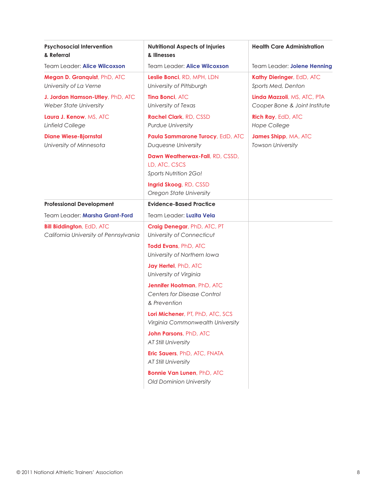| <b>Psychosocial Intervention</b><br>& Referral                            | <b>Nutritional Aspects of Injuries</b><br>& Illnesses                            | <b>Health Care Administration</b>                            |
|---------------------------------------------------------------------------|----------------------------------------------------------------------------------|--------------------------------------------------------------|
| Team Leader: Alice Wilcoxson                                              | Team Leader: Alice Wilcoxson                                                     | Team Leader: Jolene Henning                                  |
| Megan D. Granquist, PhD, ATC<br>University of La Verne                    | Leslie Bonci, RD, MPH, LDN<br>University of Pittsburgh                           | Kathy Dieringer, EdD, ATC<br>Sports Med, Denton              |
| J. Jordan Hamson-Utley, PhD, ATC<br>Weber State University                | Tina Bonci, ATC<br>University of Texas                                           | Linda Mazzoli, MS, ATC, PTA<br>Cooper Bone & Joint Institute |
| Laura J. Kenow, MS, ATC<br><b>Linfield College</b>                        | <b>Rachel Clark, RD, CSSD</b><br>Purdue University                               | Rich Ray, EdD, ATC<br><b>Hope College</b>                    |
| <b>Diane Wiese-Bjornstal</b><br>University of Minnesota                   | Paula Sammarone Turocy, EdD, ATC<br>Duquesne University                          | James Shipp, MA, ATC<br><b>Towson University</b>             |
|                                                                           | Dawn Weatherwax-Fall, RD, CSSD,<br>LD, ATC, CSCS<br>Sports Nutrition 2Go!        |                                                              |
|                                                                           | Ingrid Skoog, RD, CSSD<br>Oregon State University                                |                                                              |
| <b>Professional Development</b>                                           | <b>Evidence-Based Practice</b>                                                   |                                                              |
| Team Leader: Marsha Grant-Ford                                            | Team Leader: Luzita Vela                                                         |                                                              |
| <b>Bill Biddington, EdD, ATC</b><br>California University of Pennsylvania | Craig Denegar, PhD, ATC, PT<br>University of Connecticut                         |                                                              |
|                                                                           | Todd Evans, PhD, ATC<br>University of Northern Iowa                              |                                                              |
|                                                                           | Jay Hertel, PhD, ATC<br>University of Virginia                                   |                                                              |
|                                                                           | Jennifer Hootman, PhD, ATC<br><b>Centers for Disease Control</b><br>& Prevention |                                                              |
|                                                                           | Lori Michener, PT, PhD, ATC, SCS<br>Virginia Commonwealth University             |                                                              |
|                                                                           | John Parsons, PhD, ATC<br><b>AT Still University</b>                             |                                                              |
|                                                                           | Eric Sauers, PhD, ATC, FNATA<br><b>AT Still University</b>                       |                                                              |
|                                                                           | <b>Bonnie Van Lunen, PhD, ATC</b><br>Old Dominion University                     |                                                              |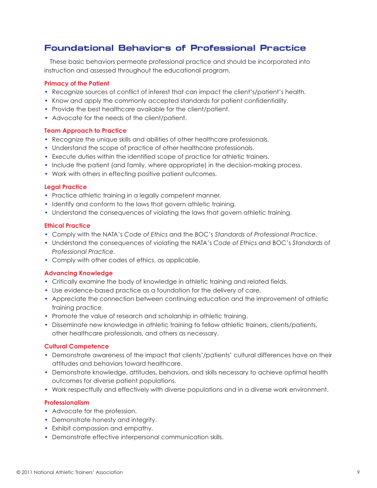# **Foundational Behaviors of Professional Practice**

These basic behaviors permeate professional practice and should be incorporated into instruction and assessed throughout the educational program.

### **Primacy of the Patient**

- Recognize sources of conflict of interest that can impact the client's/patient's health.
- Know and apply the commonly accepted standards for patient confidentiality.
- Provide the best healthcare available for the client/patient.
- Advocate for the needs of the client/patient.

#### **Team Approach to Practice**

- Recognize the unique skills and abilities of other healthcare professionals.
- Understand the scope of practice of other healthcare professionals.
- Execute duties within the identified scope of practice for athletic trainers.
- Include the patient (and family, where appropriate) in the decision-making process.
- Work with others in effecting positive patient outcomes.

### **Legal Practice**

- Practice athletic training in a legally competent manner.
- Identify and conform to the laws that govern athletic training.
- Understand the consequences of violating the laws that govern athletic training.

#### **Ethical Practice**

- Comply with the NATA's *Code of Ethics* and the BOC's *Standards of Professional Practice.*
- Understand the consequences of violating the NATA's *Code of Ethics* and BOC's *Standards of Professional Practice.*
- Comply with other codes of ethics, as applicable.

# **Advancing Knowledge**

- Critically examine the body of knowledge in athletic training and related fields.
- Use evidence-based practice as a foundation for the delivery of care.
- Appreciate the connection between continuing education and the improvement of athletic training practice.
- Promote the value of research and scholarship in athletic training.
- Disseminate new knowledge in athletic training to fellow athletic trainers, clients/patients, other healthcare professionals, and others as necessary.

#### **Cultural Competence**

- Demonstrate awareness of the impact that clients'/patients' cultural differences have on their attitudes and behaviors toward healthcare.
- Demonstrate knowledge, attitudes, behaviors, and skills necessary to achieve optimal health outcomes for diverse patient populations.
- Work respectfully and effectively with diverse populations and in a diverse work environment.

# **Professionalism**

- Advocate for the profession.
- Demonstrate honesty and integrity.
- Exhibit compassion and empathy.
- Demonstrate effective interpersonal communication skills.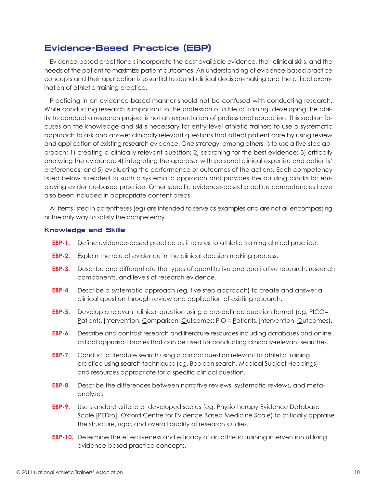# **Evidence-Based Practice (EBP)**

Evidence-based practitioners incorporate the best available evidence, their clinical skills, and the needs of the patient to maximize patient outcomes. An understanding of evidence-based practice concepts and their application is essential to sound clinical decision-making and the critical examination of athletic training practice.

Practicing in an evidence-based manner should not be confused with conducting research. While conducting research is important to the profession of athletic training, developing the ability to conduct a research project is not an expectation of professional education. This section focuses on the knowledge and skills necessary for entry-level athletic trainers to use a systematic approach to ask and answer clinically relevant questions that affect patient care by using review and application of existing research evidence. One strategy, among others, is to use a five-step approach: 1) creating a clinically relevant question; 2) searching for the best evidence; 3) critically analyzing the evidence; 4) integrating the appraisal with personal clinical expertise and patients' preferences; and 5) evaluating the performance or outcomes of the actions. Each competency listed below is related to such a systematic approach and provides the building blocks for employing evidence-based practice. Other specific evidence-based practice competencies have also been included in appropriate content areas.

All items listed in parentheses (eg) are intended to serve as examples and are not all encompassing or the only way to satisfy the competency.

### **Knowledge and Skills**

- **EBP-1.** Define evidence-based practice as it relates to athletic training clinical practice.
- **EBP-2.** Explain the role of evidence in the clinical decision making process.
- **EBP-3.** Describe and differentiate the types of quantitative and qualitative research, research components, and levels of research evidence.
- **EBP-4.** Describe a systematic approach (eg, five step approach) to create and answer a clinical question through review and application of existing research.
- **EBP-5.** Develop a relevant clinical question using a pre-defined question format (eg, PICO= Patients, Intervention, Comparison, Outcomes**;** PIO = Patients, Intervention, Outcomes).
- **EBP-6.** Describe and contrast research and literature resources including databases and online critical appraisal libraries that can be used for conducting clinically-relevant searches.
- **EBP-7.** Conduct a literature search using a clinical question relevant to athletic training practice using search techniques (eg, Boolean search, Medical Subject Headings) and resources appropriate for a specific clinical question.
- **EBP-8.** Describe the differences between narrative reviews, systematic reviews, and metaanalyses.
- **EBP-9.** Use standard criteria or developed scales (eg, Physiotherapy Evidence Database Scale [PEDro], Oxford Centre for Evidence Based Medicine Scale) to critically appraise the structure, rigor, and overall quality of research studies.
- **EBP-10.** Determine the effectiveness and efficacy of an athletic training intervention utilizing evidence-based practice concepts.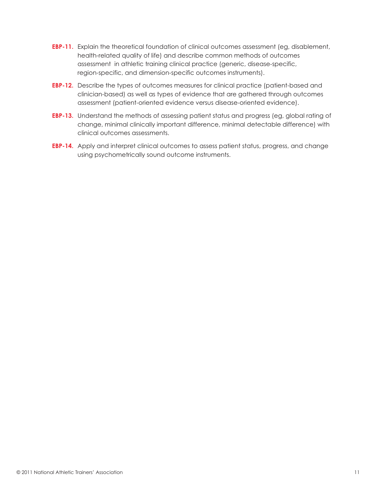- **EBP-11.** Explain the theoretical foundation of clinical outcomes assessment (eg, disablement, health-related quality of life) and describe common methods of outcomes assessment in athletic training clinical practice (generic, disease-specific, region-specific, and dimension-specific outcomes instruments).
- **EBP-12.** Describe the types of outcomes measures for clinical practice (patient-based and clinician-based) as well as types of evidence that are gathered through outcomes assessment (patient-oriented evidence versus disease-oriented evidence).
- **EBP-13.** Understand the methods of assessing patient status and progress (eg, global rating of change, minimal clinically important difference, minimal detectable difference) with clinical outcomes assessments.
- **EBP-14.** Apply and interpret clinical outcomes to assess patient status, progress, and change using psychometrically sound outcome instruments.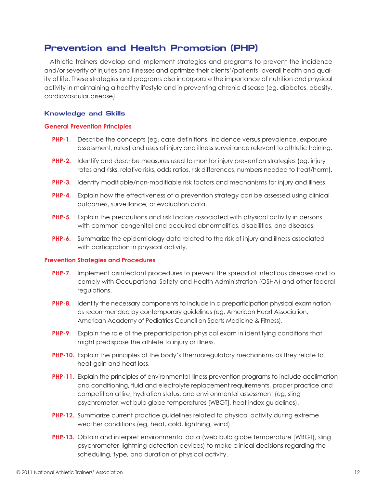# **Prevention and Health Promotion (PHP)**

Athletic trainers develop and implement strategies and programs to prevent the incidence and/or severity of injuries and illnesses and optimize their clients'/patients' overall health and quality of life. These strategies and programs also incorporate the importance of nutrition and physical activity in maintaining a healthy lifestyle and in preventing chronic disease (eg, diabetes, obesity, cardiovascular disease).

### **Knowledge and Skills**

#### **General Prevention Principles**

- **PHP-1.** Describe the concepts (eg, case definitions, incidence versus prevalence, exposure assessment, rates) and uses of injury and illness surveillance relevant to athletic training.
- **PHP-2.** Identify and describe measures used to monitor injury prevention strategies (eg, injury rates and risks, relative risks, odds ratios, risk differences, numbers needed to treat/harm).
- **PHP-3.** Identify modifiable/non-modifiable risk factors and mechanisms for injury and illness.
- **PHP-4.** Explain how the effectiveness of a prevention strategy can be assessed using clinical outcomes, surveillance, or evaluation data.
- **PHP-5.** Explain the precautions and risk factors associated with physical activity in persons with common congenital and acquired abnormalities, disabilities, and diseases.
- **PHP-6.** Summarize the epidemiology data related to the risk of injury and illness associated with participation in physical activity.

#### **Prevention Strategies and Procedures**

- **PHP-7.** Implement disinfectant procedures to prevent the spread of infectious diseases and to comply with Occupational Safety and Health Administration (OSHA) and other federal regulations.
- **PHP-8.** Identify the necessary components to include in a preparticipation physical examination as recommended by contemporary guidelines (eg, American Heart Association, American Academy of Pediatrics Council on Sports Medicine & Fitness).
- **PHP-9.** Explain the role of the preparticipation physical exam in identifying conditions that might predispose the athlete to injury or illness.
- **PHP-10.** Explain the principles of the body's thermoregulatory mechanisms as they relate to heat gain and heat loss.
- **PHP-11.** Explain the principles of environmental illness prevention programs to include acclimation and conditioning, fluid and electrolyte replacement requirements, proper practice and competition attire, hydration status, and environmental assessment (eg, sling psychrometer, wet bulb globe temperatures [WBGT], heat index guidelines).
- **PHP-12.** Summarize current practice guidelines related to physical activity during extreme weather conditions (eg, heat, cold, lightning, wind).
- **PHP-13.** Obtain and interpret environmental data (web bulb globe temperature [WBGT], sling psychrometer, lightning detection devices) to make clinical decisions regarding the scheduling, type, and duration of physical activity.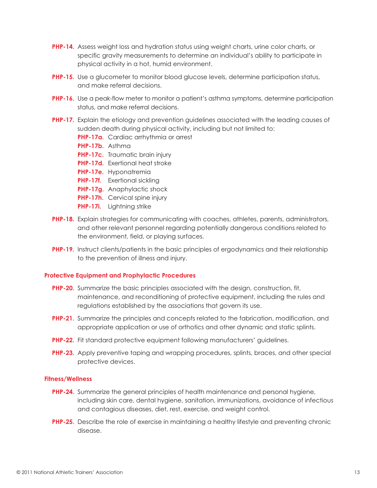- **PHP-14.** Assess weight loss and hydration status using weight charts, urine color charts, or specific gravity measurements to determine an individual's ability to participate in physical activity in a hot, humid environment.
- **PHP-15.** Use a glucometer to monitor blood glucose levels, determine participation status, and make referral decisions.
- **PHP-16.** Use a peak-flow meter to monitor a patient's asthma symptoms, determine participation status, and make referral decisions.
- **PHP-17.** Explain the etiology and prevention guidelines associated with the leading causes of sudden death during physical activity, including but not limited to:
	- **PHP-17a.** Cardiac arrhythmia or arrest
	- **PHP-17b.** Asthma
	- **PHP-17c.** Traumatic brain injury
	- **PHP-17d.** Exertional heat stroke
	- **PHP-17e.** Hyponatremia
	- **PHP-17f.** Exertional sickling
	- **PHP-17g.** Anaphylactic shock
	- **PHP-17h.** Cervical spine injury
	- **PHP-17i.** Lightning strike
- **PHP-18.** Explain strategies for communicating with coaches, athletes, parents, administrators, and other relevant personnel regarding potentially dangerous conditions related to the environment, field, or playing surfaces.
- **PHP-19.** Instruct clients/patients in the basic principles of ergodynamics and their relationship to the prevention of illness and injury.

#### **Protective Equipment and Prophylactic Procedures**

- **PHP-20.** Summarize the basic principles associated with the design, construction, fit, maintenance, and reconditioning of protective equipment, including the rules and regulations established by the associations that govern its use.
- **PHP-21.** Summarize the principles and concepts related to the fabrication, modification, and appropriate application or use of orthotics and other dynamic and static splints.
- **PHP-22.** Fit standard protective equipment following manufacturers' guidelines.
- **PHP-23.** Apply preventive taping and wrapping procedures, splints, braces, and other special protective devices.

#### **Fitness/Wellness**

- **PHP-24.** Summarize the general principles of health maintenance and personal hygiene, including skin care, dental hygiene, sanitation, immunizations, avoidance of infectious and contagious diseases, diet, rest, exercise, and weight control.
- **PHP-25.** Describe the role of exercise in maintaining a healthy lifestyle and preventing chronic disease.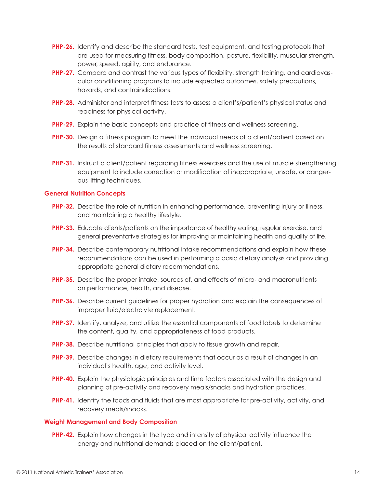- **PHP-26.** Identify and describe the standard tests, test equipment, and testing protocols that are used for measuring fitness, body composition, posture, flexibility, muscular strength, power, speed, agility, and endurance.
- **PHP-27.** Compare and contrast the various types of flexibility, strength training, and cardiovascular conditioning programs to include expected outcomes, safety precautions, hazards, and contraindications.
- **PHP-28.** Administer and interpret fitness tests to assess a client's/patient's physical status and readiness for physical activity.
- **PHP-29.** Explain the basic concepts and practice of fitness and wellness screening.
- **PHP-30.** Design a fitness program to meet the individual needs of a client/patient based on the results of standard fitness assessments and wellness screening.
- **PHP-31.** Instruct a client/patient regarding fitness exercises and the use of muscle strengthening equipment to include correction or modification of inappropriate, unsafe, or dangerous lifting techniques.

#### **General Nutrition Concepts**

- **PHP-32.** Describe the role of nutrition in enhancing performance, preventing injury or illness, and maintaining a healthy lifestyle.
- **PHP-33.** Educate clients/patients on the importance of healthy eating, regular exercise, and general preventative strategies for improving or maintaining health and quality of life.
- **PHP-34.** Describe contemporary nutritional intake recommendations and explain how these recommendations can be used in performing a basic dietary analysis and providing appropriate general dietary recommendations.
- **PHP-35.** Describe the proper intake, sources of, and effects of micro- and macronutrients on performance, health, and disease.
- **PHP-36.** Describe current guidelines for proper hydration and explain the consequences of improper fluid/electrolyte replacement.
- **PHP-37.** Identify, analyze, and utilize the essential components of food labels to determine the content, quality, and appropriateness of food products.
- **PHP-38.** Describe nutritional principles that apply to tissue growth and repair.
- **PHP-39.** Describe changes in dietary requirements that occur as a result of changes in an individual's health, age, and activity level.
- **PHP-40.** Explain the physiologic principles and time factors associated with the design and planning of pre-activity and recovery meals/snacks and hydration practices.
- **PHP-41.** Identify the foods and fluids that are most appropriate for pre-activity, activity, and recovery meals/snacks.

#### **Weight Management and Body Composition**

**PHP-42.** Explain how changes in the type and intensity of physical activity influence the energy and nutritional demands placed on the client/patient.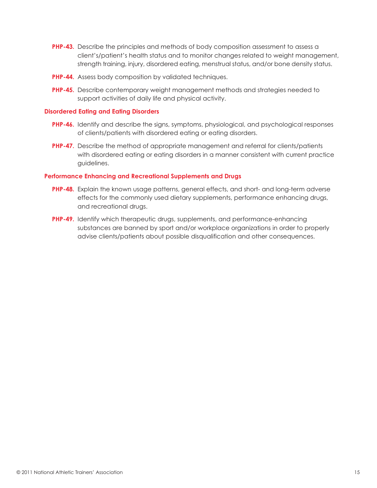- **PHP-43.** Describe the principles and methods of body composition assessment to assess a client's/patient's health status and to monitor changes related to weight management, strength training, injury, disordered eating, menstrual status, and/or bone density status.
- **PHP-44.** Assess body composition by validated techniques.
- **PHP-45.** Describe contemporary weight management methods and strategies needed to support activities of daily life and physical activity.

### **Disordered Eating and Eating Disorders**

- **PHP-46.** Identify and describe the signs, symptoms, physiological, and psychological responses of clients/patients with disordered eating or eating disorders.
- **PHP-47.** Describe the method of appropriate management and referral for clients/patients with disordered eating or eating disorders in a manner consistent with current practice guidelines.

### **Performance Enhancing and Recreational Supplements and Drugs**

- **PHP-48.** Explain the known usage patterns, general effects, and short- and long-term adverse effects for the commonly used dietary supplements, performance enhancing drugs, and recreational drugs.
- **PHP-49.** Identify which therapeutic drugs, supplements, and performance-enhancing substances are banned by sport and/or workplace organizations in order to properly advise clients/patients about possible disqualification and other consequences.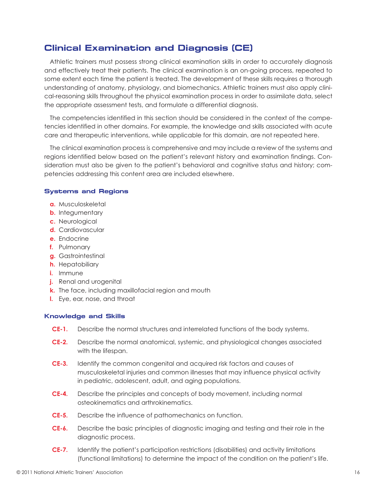# **Clinical Examination and Diagnosis (CE)**

Athletic trainers must possess strong clinical examination skills in order to accurately diagnosis and effectively treat their patients. The clinical examination is an on-going process, repeated to some extent each time the patient is treated. The development of these skills requires a thorough understanding of anatomy, physiology, and biomechanics. Athletic trainers must also apply clinical-reasoning skills throughout the physical examination process in order to assimilate data, select the appropriate assessment tests, and formulate a differential diagnosis.

The competencies identified in this section should be considered in the context of the competencies identified in other domains. For example, the knowledge and skills associated with acute care and therapeutic interventions, while applicable for this domain, are not repeated here.

The clinical examination process is comprehensive and may include a review of the systems and regions identified below based on the patient's relevant history and examination findings. Consideration must also be given to the patient's behavioral and cognitive status and history; competencies addressing this content area are included elsewhere.

### **Systems and Regions**

- **a.** Musculoskeletal
- **b.** Integumentary
- **c.** Neurological
- **d.** Cardiovascular
- **e.** Endocrine
- **f.** Pulmonary
- **g.** Gastrointestinal
- **h.** Hepatobiliary
- **i.** Immune
- **j.** Renal and urogenital
- **k.** The face, including maxillofacial region and mouth
- **l.** Eye, ear, nose, and throat

# **Knowledge and Skills**

- **CE-1.** Describe the normal structures and interrelated functions of the body systems.
- **CE-2.** Describe the normal anatomical, systemic, and physiological changes associated with the lifespan.
- **CE-3.** Identify the common congenital and acquired risk factors and causes of musculoskeletal injuries and common illnesses that may influence physical activity in pediatric, adolescent, adult, and aging populations.
- **CE-4.** Describe the principles and concepts of body movement, including normal osteokinematics and arthrokinematics.
- **CE-5.** Describe the influence of pathomechanics on function.
- **CE-6.** Describe the basic principles of diagnostic imaging and testing and their role in the diagnostic process.
- **CE-7.** Identify the patient's participation restrictions (disabilities) and activity limitations (functional limitations) to determine the impact of the condition on the patient's life.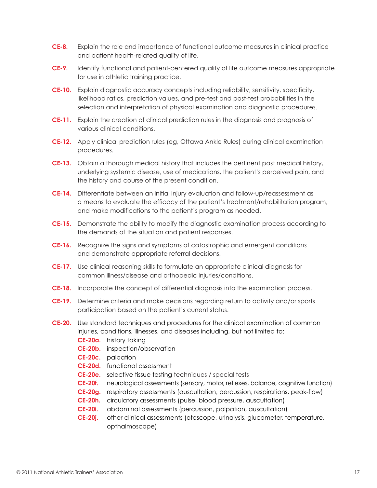- **CE-8.** Explain the role and importance of functional outcome measures in clinical practice and patient health-related quality of life.
- **CE-9.** Identify functional and patient-centered quality of life outcome measures appropriate for use in athletic training practice.
- **CE-10.** Explain diagnostic accuracy concepts including reliability, sensitivity, specificity, likelihood ratios, prediction values, and pre-test and post-test probabilities in the selection and interpretation of physical examination and diagnostic procedures.
- **CE-11.** Explain the creation of clinical prediction rules in the diagnosis and prognosis of various clinical conditions.
- **CE-12.** Apply clinical prediction rules (eg, Ottawa Ankle Rules) during clinical examination procedures.
- **CE-13.** Obtain a thorough medical history that includes the pertinent past medical history, underlying systemic disease, use of medications, the patient's perceived pain, and the history and course of the present condition.
- **CE-14.** Differentiate between an initial injury evaluation and follow-up/reassessment as a means to evaluate the efficacy of the patient's treatment/rehabilitation program, and make modifications to the patient's program as needed.
- **CE-15.** Demonstrate the ability to modify the diagnostic examination process according to the demands of the situation and patient responses.
- **CE-16.** Recognize the signs and symptoms of catastrophic and emergent conditions and demonstrate appropriate referral decisions.
- **CE-17.** Use clinical reasoning skills to formulate an appropriate clinical diagnosis for common illness/disease and orthopedic injuries/conditions.
- **CE-18.** Incorporate the concept of differential diagnosis into the examination process.
- **CE-19.** Determine criteria and make decisions regarding return to activity and/or sports participation based on the patient's current status.
- **CE-20.** Use standard techniques and procedures for the clinical examination of common injuries, conditions, illnesses, and diseases including, but not limited to:
	- **CE-20a.** history taking
	- **CE-20b.** inspection/observation
	- **CE-20c.** palpation
	- **CE-20d.** functional assessment
	- **CE-20e.** selective tissue testing techniques / special tests
	- **CE-20f.** neurological assessments (sensory, motor, reflexes, balance, cognitive function)
	- **CE-20g.** respiratory assessments (auscultation, percussion, respirations, peak-flow)
	- **CE-20h.** circulatory assessments (pulse, blood pressure, auscultation)
	- **CE-20i.** abdominal assessments (percussion, palpation, auscultation)
	- **CE-20j.** other clinical assessments (otoscope, urinalysis, glucometer, temperature, opthalmoscope)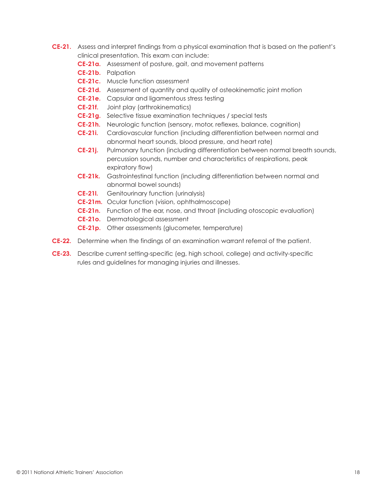- **CE-21.** Assess and interpret findings from a physical examination that is based on the patient's clinical presentation. This exam can include:
	- **CE-21a.** Assessment of posture, gait, and movement patterns
	- **CE-21b.** Palpation
	- **CE-21c.** Muscle function assessment
	- **CE-21d.** Assessment of quantity and quality of osteokinematic joint motion
	- **CE-21e.** Capsular and ligamentous stress testing
	- **CE-21f.** Joint play (arthrokinematics)
	- **CE-21g.** Selective tissue examination techniques / special tests
	- **CE-21h.** Neurologic function (sensory, motor, reflexes, balance, cognition)
	- **CE-21i.** Cardiovascular function (including differentiation between normal and abnormal heart sounds, blood pressure, and heart rate)
	- **CE-21j.** Pulmonary function (including differentiation between normal breath sounds, percussion sounds, number and characteristics of respirations, peak expiratory flow)
	- **CE-21k.** Gastrointestinal function (including differentiation between normal and abnormal bowel sounds)
	- **CE-21l.** Genitourinary function (urinalysis)
	- **CE-21m.** Ocular function (vision, ophthalmoscope)
	- **CE-21n.** Function of the ear, nose, and throat (including otoscopic evaluation)
	- **CE-21o.** Dermatological assessment
	- **CE-21p.** Other assessments (glucometer, temperature)
- **CE-22.** Determine when the findings of an examination warrant referral of the patient.
- **CE-23.** Describe current setting-specific (eg, high school, college) and activity-specific rules and guidelines for managing injuries and illnesses.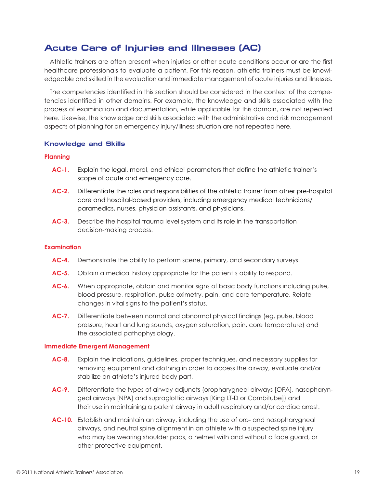# **Acute Care of Injuries and Illnesses (AC)**

Athletic trainers are often present when injuries or other acute conditions occur or are the first healthcare professionals to evaluate a patient. For this reason, athletic trainers must be knowledgeable and skilled in the evaluation and immediate management of acute injuries and illnesses.

The competencies identified in this section should be considered in the context of the competencies identified in other domains. For example, the knowledge and skills associated with the process of examination and documentation, while applicable for this domain, are not repeated here. Likewise, the knowledge and skills associated with the administrative and risk management aspects of planning for an emergency injury/illness situation are not repeated here.

### **Knowledge and Skills**

#### **Planning**

- **AC-1.** Explain the legal, moral, and ethical parameters that define the athletic trainer's scope of acute and emergency care.
- **AC-2.** Differentiate the roles and responsibilities of the athletic trainer from other pre-hospital care and hospital-based providers, including emergency medical technicians/ paramedics, nurses, physician assistants, and physicians.
- **AC-3.** Describe the hospital trauma level system and its role in the transportation decision-making process.

# **Examination**

- **AC-4.** Demonstrate the ability to perform scene, primary, and secondary surveys.
- **AC-5.** Obtain a medical history appropriate for the patient's ability to respond.
- **AC-6.** When appropriate, obtain and monitor signs of basic body functions including pulse, blood pressure, respiration, pulse oximetry, pain, and core temperature. Relate changes in vital signs to the patient's status.
- **AC-7.** Differentiate between normal and abnormal physical findings (eg, pulse, blood pressure, heart and lung sounds, oxygen saturation, pain, core temperature) and the associated pathophysiology.

#### **Immediate Emergent Management**

- **AC-8.** Explain the indications, guidelines, proper techniques, and necessary supplies for removing equipment and clothing in order to access the airway, evaluate and/or stabilize an athlete's injured body part.
- **AC-9.** Differentiate the types of airway adjuncts (oropharygneal airways [OPA], nasopharyngeal airways [NPA] and supraglottic airways [King LT-D or Combitube]) and their use in maintaining a patent airway in adult respiratory and/or cardiac arrest.
- **AC-10.** Establish and maintain an airway, including the use of oro- and nasopharygneal airways, and neutral spine alignment in an athlete with a suspected spine injury who may be wearing shoulder pads, a helmet with and without a face guard, or other protective equipment.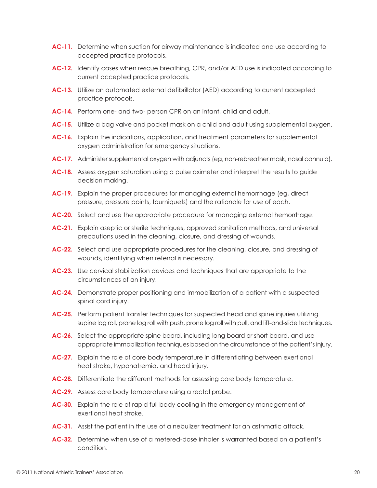- **AC-11.** Determine when suction for airway maintenance is indicated and use according to accepted practice protocols.
- **AC-12.** Identify cases when rescue breathing, CPR, and/or AED use is indicated according to current accepted practice protocols.
- **AC-13.** Utilize an automated external defibrillator (AED) according to current accepted practice protocols.
- **AC-14.** Perform one- and two- person CPR on an infant, child and adult.
- **AC-15.** Utilize a bag valve and pocket mask on a child and adult using supplemental oxygen.
- **AC-16.** Explain the indications, application, and treatment parameters for supplemental oxygen administration for emergency situations.
- **AC-17.** Administer supplemental oxygen with adjuncts (eg, non-rebreather mask, nasal cannula).
- **AC-18.** Assess oxygen saturation using a pulse oximeter and interpret the results to guide decision making.
- **AC-19.** Explain the proper procedures for managing external hemorrhage (eg, direct pressure, pressure points, tourniquets) and the rationale for use of each.
- **AC-20.** Select and use the appropriate procedure for managing external hemorrhage.
- **AC-21.** Explain aseptic or sterile techniques, approved sanitation methods, and universal precautions used in the cleaning, closure, and dressing of wounds.
- **AC-22.** Select and use appropriate procedures for the cleaning, closure, and dressing of wounds, identifying when referral is necessary.
- **AC-23.** Use cervical stabilization devices and techniques that are appropriate to the circumstances of an injury.
- **AC-24.** Demonstrate proper positioning and immobilization of a patient with a suspected spinal cord injury.
- **AC-25.** Perform patient transfer techniques for suspected head and spine injuries utilizing supine log roll, prone log roll with push, prone log roll with pull, and lift-and-slide techniques.
- AC-26. Select the appropriate spine board, including long board or short board, and use appropriate immobilization techniques based on the circumstance of the patient's injury.
- **AC-27.** Explain the role of core body temperature in differentiating between exertional heat stroke, hyponatremia, and head injury.
- **AC-28.** Differentiate the different methods for assessing core body temperature.
- **AC-29.** Assess core body temperature using a rectal probe.
- **AC-30.** Explain the role of rapid full body cooling in the emergency management of exertional heat stroke.
- **AC-31.** Assist the patient in the use of a nebulizer treatment for an asthmatic attack.
- **AC-32.** Determine when use of a metered-dose inhaler is warranted based on a patient's condition.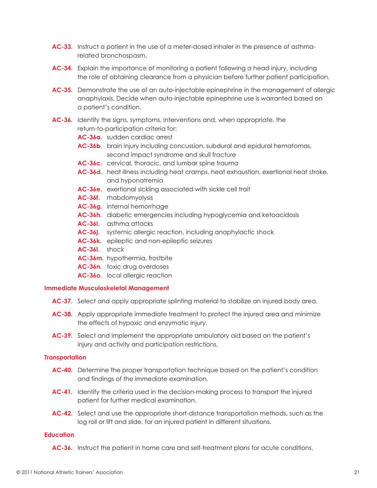- **AC-33.** Instruct a patient in the use of a meter-dosed inhaler in the presence of asthmarelated bronchospasm.
- **AC-34.** Explain the importance of monitoring a patient following a head injury, including the role of obtaining clearance from a physician before further patient participation.
- **AC-35.** Demonstrate the use of an auto-injectable epinephrine in the management of allergic anaphylaxis. Decide when auto-injectable epinephrine use is warranted based on a patient's condition.
- **AC-36.** Identify the signs, symptoms, interventions and, when appropriate, the return-to-participation criteria for:
	- **AC-36a.** sudden cardiac arrest
	- **AC-36b.** brain injury including concussion, subdural and epidural hematomas, second impact syndrome and skull fracture
	- AC-36c. cervical, thoracic, and lumbar spine trauma
	- **AC-36d.** heat illness including heat cramps, heat exhaustion, exertional heat stroke, and hyponatremia
	- **AC-36e.** exertional sickling associated with sickle cell trait
	- **AC-36f.** rhabdomyolysis
	- **AC-36g.** internal hemorrhage
	- **AC-36h.** diabetic emergencies including hypoglycemia and ketoacidosis
	- **AC-36i.** asthma attacks
	- **AC-36j.** systemic allergic reaction, including anaphylactic shock
	- **AC-36k.** epileptic and non-epileptic seizures
	- **AC-36l.** shock
	- **AC-36m.** hypothermia, frostbite
	- **AC-36n.** toxic drug overdoses
	- **AC-36o.** local allergic reaction

#### **Immediate Musculoskeletal Management**

- **AC-37.** Select and apply appropriate splinting material to stabilize an injured body area.
- **AC-38.** Apply appropriate immediate treatment to protect the injured area and minimize the effects of hypoxic and enzymatic injury.
- **AC-39.** Select and implement the appropriate ambulatory aid based on the patient's injury and activity and participation restrictions.

#### **Transportation**

- **AC-40.** Determine the proper transportation technique based on the patient's condition and findings of the immediate examination.
- AC-41. Identify the criteria used in the decision-making process to transport the injured patient for further medical examination.
- **AC-42.** Select and use the appropriate short-distance transportation methods, such as the log roll or lift and slide, for an injured patient in different situations.

#### **Education**

**AC-36.** Instruct the patient in home care and self-treatment plans for acute conditions.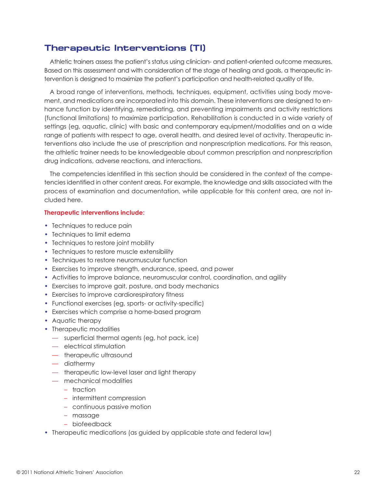# **Therapeutic Interventions (TI)**

Athletic trainers assess the patient's status using clinician- and patient-oriented outcome measures. Based on this assessment and with consideration of the stage of healing and goals, a therapeutic intervention is designed to maximize the patient's participation and health-related quality of life.

A broad range of interventions, methods, techniques, equipment, activities using body movement, and medications are incorporated into this domain. These interventions are designed to enhance function by identifying, remediating, and preventing impairments and activity restrictions (functional limitations) to maximize participation. Rehabilitation is conducted in a wide variety of settings (eg, aquatic, clinic) with basic and contemporary equipment/modalities and on a wide range of patients with respect to age, overall health, and desired level of activity. Therapeutic interventions also include the use of prescription and nonprescription medications. For this reason, the athletic trainer needs to be knowledgeable about common prescription and nonprescription drug indications, adverse reactions, and interactions.

The competencies identified in this section should be considered in the context of the competencies identified in other content areas. For example, the knowledge and skills associated with the process of examination and documentation, while applicable for this content area, are not included here.

#### **Therapeutic interventions include:**

- Techniques to reduce pain
- Techniques to limit edema
- Techniques to restore joint mobility
- Techniques to restore muscle extensibility
- Techniques to restore neuromuscular function
- Exercises to improve strength, endurance, speed, and power
- Activities to improve balance, neuromuscular control, coordination, and agility
- Exercises to improve gait, posture, and body mechanics
- Exercises to improve cardiorespiratory fitness
- Functional exercises (eg, sports- or activity-specific)
- Exercises which comprise a home-based program
- Aquatic therapy
- Therapeutic modalities
	- superficial thermal agents (eg, hot pack, ice)
	- electrical stimulation
	- therapeutic ultrasound
	- diathermy
	- therapeutic low-level laser and light therapy
	- mechanical modalities
		- traction
		- intermittent compression
		- continuous passive motion
		- massage
		- biofeedback
- Therapeutic medications (as guided by applicable state and federal law)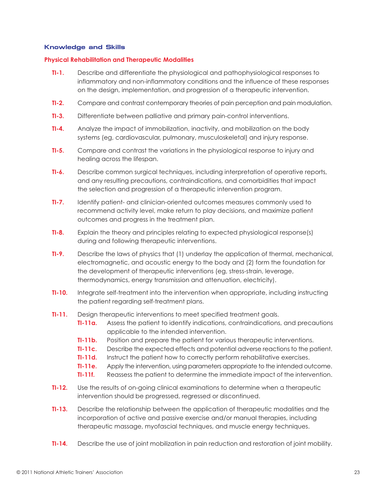## **Knowledge and Skills**

#### **Physical Rehabilitation and Therapeutic Modalities**

- **TI-1.** Describe and differentiate the physiological and pathophysiological responses to inflammatory and non-inflammatory conditions and the influence of these responses on the design, implementation, and progression of a therapeutic intervention.
- **TI-2.** Compare and contrast contemporary theories of pain perception and pain modulation.
- **TI-3.** Differentiate between palliative and primary pain-control interventions.
- **TI-4.** Analyze the impact of immobilization, inactivity, and mobilization on the body systems (eg, cardiovascular, pulmonary, musculoskeletal) and injury response.
- **TI-5.** Compare and contrast the variations in the physiological response to injury and healing across the lifespan.
- **TI-6.** Describe common surgical techniques, including interpretation of operative reports, and any resulting precautions, contraindications, and comorbidities that impact the selection and progression of a therapeutic intervention program.
- **TI-7.** Identify patient- and clinician-oriented outcomes measures commonly used to recommend activity level, make return to play decisions, and maximize patient outcomes and progress in the treatment plan.
- **TI-8.** Explain the theory and principles relating to expected physiological response(s) during and following therapeutic interventions.
- **TI-9.** Describe the laws of physics that (1) underlay the application of thermal, mechanical, electromagnetic, and acoustic energy to the body and (2) form the foundation for the development of therapeutic interventions (eg, stress-strain, leverage, thermodynamics, energy transmission and attenuation, electricity).
- **TI-10.** Integrate self-treatment into the intervention when appropriate, including instructing the patient regarding self-treatment plans.
- **TI-11.** Design therapeutic interventions to meet specified treatment goals.
	- **TI-11a.** Assess the patient to identify indications, contraindications, and precautions applicable to the intended intervention.
	- **TI-11b.** Position and prepare the patient for various therapeutic interventions.
	- **TI-11c.** Describe the expected effects and potential adverse reactions to the patient.
	- **TI-11d.** Instruct the patient how to correctly perform rehabilitative exercises.
	- **TI-11e.** Apply the intervention, using parameters appropriate to the intended outcome.
	- **TI-11f.** Reassess the patient to determine the immediate impact of the intervention.
- **TI-12.** Use the results of on-going clinical examinations to determine when a therapeutic intervention should be progressed, regressed or discontinued.
- **TI-13.** Describe the relationship between the application of therapeutic modalities and the incorporation of active and passive exercise and/or manual therapies, including therapeutic massage, myofascial techniques, and muscle energy techniques.
- **TI-14.** Describe the use of joint mobilization in pain reduction and restoration of joint mobility.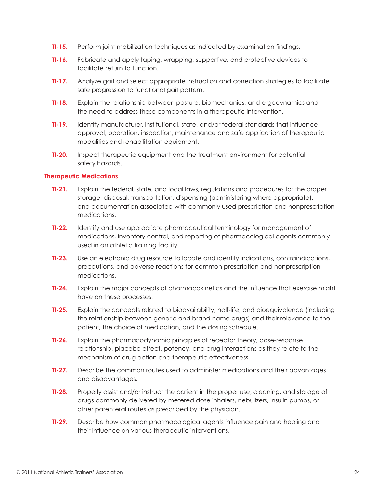- **TI-15.** Perform joint mobilization techniques as indicated by examination findings.
- **TI-16.** Fabricate and apply taping, wrapping, supportive, and protective devices to facilitate return to function.
- **TI-17.** Analyze gait and select appropriate instruction and correction strategies to facilitate safe progression to functional gait pattern.
- **TI-18.** Explain the relationship between posture, biomechanics, and ergodynamics and the need to address these components in a therapeutic intervention.
- **TI-19.** Identify manufacturer, institutional, state, and/or federal standards that influence approval, operation, inspection, maintenance and safe application of therapeutic modalities and rehabilitation equipment.
- **TI-20.** Inspect therapeutic equipment and the treatment environment for potential safety hazards.

### **Therapeutic Medications**

- **TI-21.** Explain the federal, state, and local laws, regulations and procedures for the proper storage, disposal, transportation, dispensing (administering where appropriate), and documentation associated with commonly used prescription and nonprescription medications.
- **TI-22.** Identify and use appropriate pharmaceutical terminology for management of medications, inventory control, and reporting of pharmacological agents commonly used in an athletic training facility.
- **TI-23.** Use an electronic drug resource to locate and identify indications, contraindications, precautions, and adverse reactions for common prescription and nonprescription medications.
- **TI-24.** Explain the major concepts of pharmacokinetics and the influence that exercise might have on these processes.
- **TI-25.** Explain the concepts related to bioavailability, half-life, and bioequivalence (including the relationship between generic and brand name drugs) and their relevance to the patient, the choice of medication, and the dosing schedule.
- **TI-26.** Explain the pharmacodynamic principles of receptor theory, dose-response relationship, placebo effect, potency, and drug interactions as they relate to the mechanism of drug action and therapeutic effectiveness.
- **TI-27.** Describe the common routes used to administer medications and their advantages and disadvantages.
- **TI-28.** Properly assist and/or instruct the patient in the proper use, cleaning, and storage of drugs commonly delivered by metered dose inhalers, nebulizers, insulin pumps, or other parenteral routes as prescribed by the physician.
- **TI-29.** Describe how common pharmacological agents influence pain and healing and their influence on various therapeutic interventions.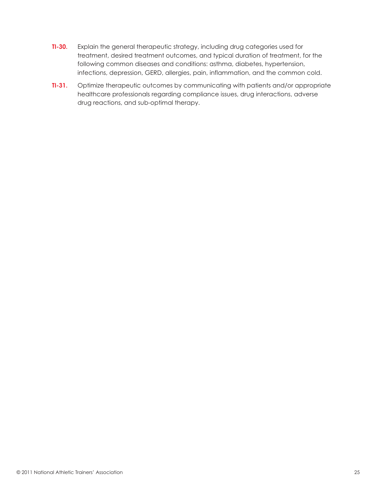- **TI-30.** Explain the general therapeutic strategy, including drug categories used for treatment, desired treatment outcomes, and typical duration of treatment, for the following common diseases and conditions: asthma, diabetes, hypertension, infections, depression, GERD, allergies, pain, inflammation, and the common cold.
- **TI-31.** Optimize therapeutic outcomes by communicating with patients and/or appropriate healthcare professionals regarding compliance issues, drug interactions, adverse drug reactions, and sub-optimal therapy.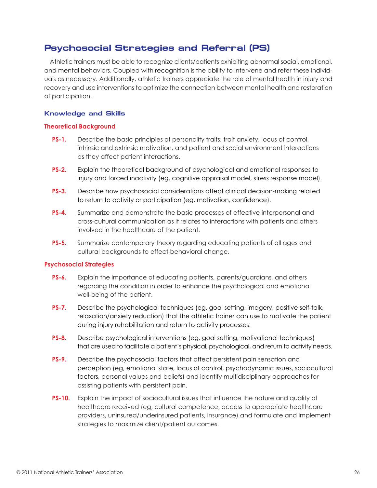# **Psychosocial Strategies and Referral (PS)**

Athletic trainers must be able to recognize clients/patients exhibiting abnormal social, emotional, and mental behaviors. Coupled with recognition is the ability to intervene and refer these individuals as necessary. Additionally, athletic trainers appreciate the role of mental health in injury and recovery and use interventions to optimize the connection between mental health and restoration of participation.

# **Knowledge and Skills**

# **Theoretical Background**

- **PS-1.** Describe the basic principles of personality traits, trait anxiety, locus of control, intrinsic and extrinsic motivation, and patient and social environment interactions as they affect patient interactions.
- **PS-2.** Explain the theoretical background of psychological and emotional responses to injury and forced inactivity (eg, cognitive appraisal model, stress response model).
- **PS-3.** Describe how psychosocial considerations affect clinical decision-making related to return to activity or participation (eg, motivation, confidence).
- **PS-4.** Summarize and demonstrate the basic processes of effective interpersonal and cross-cultural communication as it relates to interactions with patients and others involved in the healthcare of the patient.
- **PS-5.** Summarize contemporary theory regarding educating patients of all ages and cultural backgrounds to effect behavioral change.

# **Psychosocial Strategies**

- **PS-6.** Explain the importance of educating patients, parents/guardians, and others regarding the condition in order to enhance the psychological and emotional well-being of the patient.
- **PS-7.** Describe the psychological techniques (eg, goal setting, imagery, positive self-talk, relaxation/anxiety reduction) that the athletic trainer can use to motivate the patient during injury rehabilitation and return to activity processes.
- **PS-8.** Describe psychological interventions (eg, goal setting, motivational techniques) that are used to facilitate a patient's physical, psychological, and return to activity needs.
- **PS-9.** Describe the psychosocial factors that affect persistent pain sensation and perception (eg, emotional state, locus of control, psychodynamic issues, sociocultural factors, personal values and beliefs) and identify multidisciplinary approaches for assisting patients with persistent pain.
- **PS-10.** Explain the impact of sociocultural issues that influence the nature and quality of healthcare received (eg, cultural competence, access to appropriate healthcare providers, uninsured/underinsured patients, insurance) and formulate and implement strategies to maximize client/patient outcomes.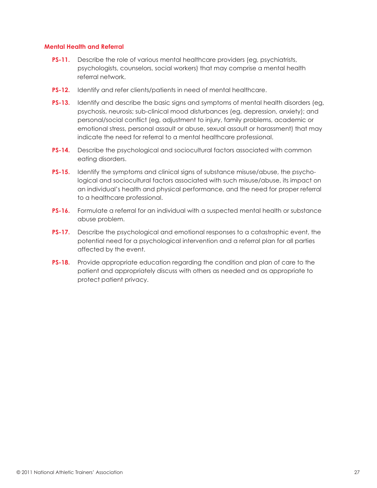### **Mental Health and Referral**

- **PS-11.** Describe the role of various mental healthcare providers (eg, psychiatrists, psychologists, counselors, social workers) that may comprise a mental health referral network.
- **PS-12.** Identify and refer clients/patients in need of mental healthcare.
- **PS-13.** Identify and describe the basic signs and symptoms of mental health disorders (eg, psychosis, neurosis; sub-clinical mood disturbances (eg, depression, anxiety); and personal/social conflict (eg, adjustment to injury, family problems, academic or emotional stress, personal assault or abuse, sexual assault or harassment) that may indicate the need for referral to a mental healthcare professional.
- **PS-14.** Describe the psychological and sociocultural factors associated with common eating disorders.
- **PS-15.** Identify the symptoms and clinical signs of substance misuse/abuse, the psychological and sociocultural factors associated with such misuse/abuse, its impact on an individual's health and physical performance, and the need for proper referral to a healthcare professional.
- **PS-16.** Formulate a referral for an individual with a suspected mental health or substance abuse problem.
- **PS-17.** Describe the psychological and emotional responses to a catastrophic event, the potential need for a psychological intervention and a referral plan for all parties affected by the event.
- **PS-18.** Provide appropriate education regarding the condition and plan of care to the patient and appropriately discuss with others as needed and as appropriate to protect patient privacy.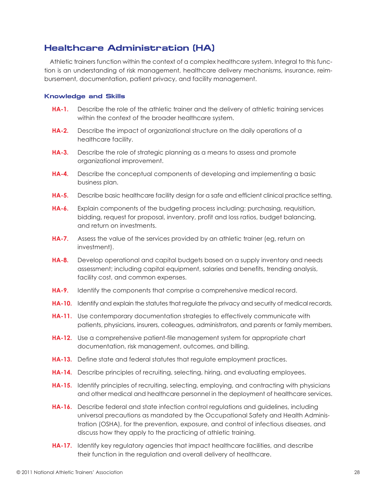# **Healthcare Administration (HA)**

Athletic trainers function within the context of a complex healthcare system. Integral to this function is an understanding of risk management, healthcare delivery mechanisms, insurance, reimbursement, documentation, patient privacy, and facility management.

### **Knowledge and Skills**

- **HA-1.** Describe the role of the athletic trainer and the delivery of athletic training services within the context of the broader healthcare system.
- **HA-2.** Describe the impact of organizational structure on the daily operations of a healthcare facility.
- **HA-3.** Describe the role of strategic planning as a means to assess and promote organizational improvement.
- **HA-4.** Describe the conceptual components of developing and implementing a basic business plan.
- **HA-5.** Describe basic healthcare facility design for a safe and efficient clinical practice setting.
- **HA-6.** Explain components of the budgeting process including: purchasing, requisition, bidding, request for proposal, inventory, profit and loss ratios, budget balancing, and return on investments.
- **HA-7.** Assess the value of the services provided by an athletic trainer (eg, return on investment).
- **HA-8.** Develop operational and capital budgets based on a supply inventory and needs assessment; including capital equipment, salaries and benefits, trending analysis, facility cost, and common expenses.
- **HA-9.** Identify the components that comprise a comprehensive medical record.
- **HA-10.** Identify and explain the statutes that regulate the privacy and security of medical records.
- **HA-11.** Use contemporary documentation strategies to effectively communicate with patients, physicians, insurers, colleagues, administrators, and parents or family members.
- **HA-12.** Use a comprehensive patient-file management system for appropriate chart documentation, risk management, outcomes, and billing.
- **HA-13.** Define state and federal statutes that regulate employment practices.
- **HA-14.** Describe principles of recruiting, selecting, hiring, and evaluating employees.
- **HA-15.** Identify principles of recruiting, selecting, employing, and contracting with physicians and other medical and healthcare personnel in the deployment of healthcare services.
- **HA-16.** Describe federal and state infection control regulations and guidelines, including universal precautions as mandated by the Occupational Safety and Health Administration (OSHA), for the prevention, exposure, and control of infectious diseases, and discuss how they apply to the practicing of athletic training.
- **HA-17.** Identify key regulatory agencies that impact healthcare facilities, and describe their function in the regulation and overall delivery of healthcare.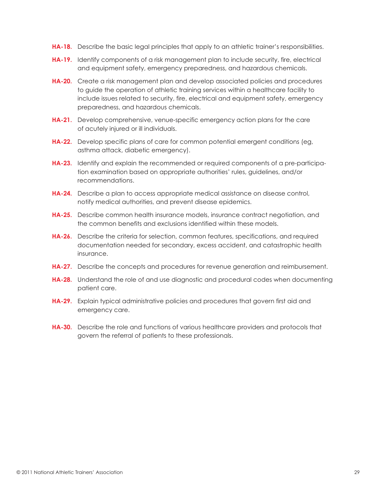- **HA-18.** Describe the basic legal principles that apply to an athletic trainer's responsibilities.
- **HA-19.** Identify components of a risk management plan to include security, fire, electrical and equipment safety, emergency preparedness, and hazardous chemicals.
- **HA-20.** Create a risk management plan and develop associated policies and procedures to guide the operation of athletic training services within a healthcare facility to include issues related to security, fire, electrical and equipment safety, emergency preparedness, and hazardous chemicals.
- **HA-21.** Develop comprehensive, venue-specific emergency action plans for the care of acutely injured or ill individuals.
- **HA-22.** Develop specific plans of care for common potential emergent conditions (eg, asthma attack, diabetic emergency).
- **HA-23.** Identify and explain the recommended or required components of a pre-participation examination based on appropriate authorities' rules, guidelines, and/or recommendations.
- **HA-24.** Describe a plan to access appropriate medical assistance on disease control, notify medical authorities, and prevent disease epidemics.
- **HA-25.** Describe common health insurance models, insurance contract negotiation, and the common benefits and exclusions identified within these models.
- **HA-26.** Describe the criteria for selection, common features, specifications, and required documentation needed for secondary, excess accident, and catastrophic health insurance.
- **HA-27.** Describe the concepts and procedures for revenue generation and reimbursement.
- **HA-28.** Understand the role of and use diagnostic and procedural codes when documenting patient care.
- **HA-29.** Explain typical administrative policies and procedures that govern first aid and emergency care.
- **HA-30.** Describe the role and functions of various healthcare providers and protocols that govern the referral of patients to these professionals.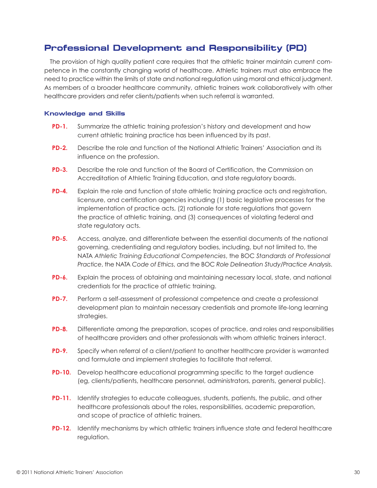# **Professional Development and Responsibility (PD)**

The provision of high quality patient care requires that the athletic trainer maintain current competence in the constantly changing world of healthcare. Athletic trainers must also embrace the need to practice within the limits of state and national regulation using moral and ethical judgment. As members of a broader healthcare community, athletic trainers work collaboratively with other healthcare providers and refer clients/patients when such referral is warranted.

### **Knowledge and Skills**

- **PD-1.** Summarize the athletic training profession's history and development and how current athletic training practice has been influenced by its past.
- **PD-2.** Describe the role and function of the National Athletic Trainers' Association and its influence on the profession.
- **PD-3.** Describe the role and function of the Board of Certification, the Commission on Accreditation of Athletic Training Education, and state regulatory boards.
- **PD-4.** Explain the role and function of state athletic training practice acts and registration, licensure, and certification agencies including (1) basic legislative processes for the implementation of practice acts, (2) rationale for state regulations that govern the practice of athletic training, and (3) consequences of violating federal and state regulatory acts.
- **PD-5.** Access, analyze, and differentiate between the essential documents of the national governing, credentialing and regulatory bodies, including, but not limited to, the NATA *Athletic Training Educational Competencies*, the BOC *Standards of Professional Practice*, the NATA *Code of Ethics*, and the BOC *Role Delineation Study/Practice Analysis*.
- **PD-6.** Explain the process of obtaining and maintaining necessary local, state, and national credentials for the practice of athletic training.
- **PD-7.** Perform a self-assessment of professional competence and create a professional development plan to maintain necessary credentials and promote life-long learning strategies.
- **PD-8.** Differentiate among the preparation, scopes of practice, and roles and responsibilities of healthcare providers and other professionals with whom athletic trainers interact.
- **PD-9.** Specify when referral of a client/patient to another healthcare provider is warranted and formulate and implement strategies to facilitate that referral.
- **PD-10.** Develop healthcare educational programming specific to the target audience (eg, clients/patients, healthcare personnel, administrators, parents, general public).
- **PD-11.** Identify strategies to educate colleagues, students, patients, the public, and other healthcare professionals about the roles, responsibilities, academic preparation, and scope of practice of athletic trainers.
- **PD-12.** Identify mechanisms by which athletic trainers influence state and federal healthcare regulation.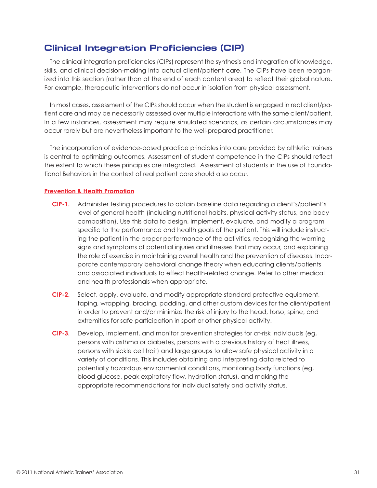# **Clinical Integration Proficiencies (CIP)**

The clinical integration proficiencies (CIPs) represent the synthesis and integration of knowledge, skills, and clinical decision-making into actual client/patient care. The CIPs have been reorganized into this section (rather than at the end of each content area) to reflect their global nature. For example, therapeutic interventions do not occur in isolation from physical assessment.

In most cases, assessment of the CIPs should occur when the student is engaged in real client/patient care and may be necessarily assessed over multiple interactions with the same client/patient. In a few instances, assessment may require simulated scenarios, as certain circumstances may occur rarely but are nevertheless important to the well-prepared practitioner.

The incorporation of evidence-based practice principles into care provided by athletic trainers is central to optimizing outcomes. Assessment of student competence in the CIPs should reflect the extent to which these principles are integrated. Assessment of students in the use of Foundational Behaviors in the context of real patient care should also occur.

# **Prevention & Health Promotion**

- **CIP-1.** Administer testing procedures to obtain baseline data regarding a client's/patient's level of general health (including nutritional habits, physical activity status, and body composition). Use this data to design, implement, evaluate, and modify a program specific to the performance and health goals of the patient. This will include instructing the patient in the proper performance of the activities, recognizing the warning signs and symptoms of potential injuries and illnesses that may occur, and explaining the role of exercise in maintaining overall health and the prevention of diseases. Incorporate contemporary behavioral change theory when educating clients/patients and associated individuals to effect health-related change. Refer to other medical and health professionals when appropriate.
- **CIP-2.** Select, apply, evaluate, and modify appropriate standard protective equipment, taping, wrapping, bracing, padding, and other custom devices for the client/patient in order to prevent and/or minimize the risk of injury to the head, torso, spine, and extremities for safe participation in sport or other physical activity.
- **CIP-3.** Develop, implement, and monitor prevention strategies for at-risk individuals (eg, persons with asthma or diabetes, persons with a previous history of heat illness, persons with sickle cell trait) and large groups to allow safe physical activity in a variety of conditions. This includes obtaining and interpreting data related to potentially hazardous environmental conditions, monitoring body functions (eg, blood glucose, peak expiratory flow, hydration status), and making the appropriate recommendations for individual safety and activity status.